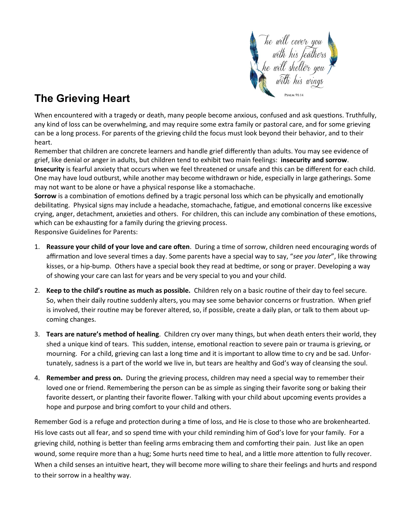

## **The Grieving Heart**

When encountered with a tragedy or death, many people become anxious, confused and ask questions. Truthfully, any kind of loss can be overwhelming, and may require some extra family or pastoral care, and for some grieving can be a long process. For parents of the grieving child the focus must look beyond their behavior, and to their heart.

Remember that children are concrete learners and handle grief differently than adults. You may see evidence of grief, like denial or anger in adults, but children tend to exhibit two main feelings: **insecurity and sorrow**. **Insecurity** is fearful anxiety that occurs when we feel threatened or unsafe and this can be different for each child. One may have loud outburst, while another may become withdrawn or hide, especially in large gatherings. Some may not want to be alone or have a physical response like a stomachache.

**Sorrow** is a combination of emotions defined by a tragic personal loss which can be physically and emotionally debilitating. Physical signs may include a headache, stomachache, fatigue, and emotional concerns like excessive crying, anger, detachment, anxieties and others. For children, this can include any combination of these emotions, which can be exhausting for a family during the grieving process.

Responsive Guidelines for Parents:

- 1. **Reassure your child of your love and care often**. During a time of sorrow, children need encouraging words of affirmation and love several times a day. Some parents have a special way to say, "*see you later*", like throwing kisses, or a hip-bump. Others have a special book they read at bedtime, or song or prayer. Developing a way of showing your care can last for years and be very special to you and your child.
- 2. **Keep to the child's routine as much as possible.** Children rely on a basic routine of their day to feel secure. So, when their daily routine suddenly alters, you may see some behavior concerns or frustration. When grief is involved, their routine may be forever altered, so, if possible, create a daily plan, or talk to them about upcoming changes.
- 3. **Tears are nature's method of healing**. Children cry over many things, but when death enters their world, they shed a unique kind of tears. This sudden, intense, emotional reaction to severe pain or trauma is grieving, or mourning. For a child, grieving can last a long time and it is important to allow time to cry and be sad. Unfortunately, sadness is a part of the world we live in, but tears are healthy and God's way of cleansing the soul.
- 4. **Remember and press on.** During the grieving process, children may need a special way to remember their loved one or friend. Remembering the person can be as simple as singing their favorite song or baking their favorite dessert, or planting their favorite flower. Talking with your child about upcoming events provides a hope and purpose and bring comfort to your child and others.

Remember God is a refuge and protection during a time of loss, and He is close to those who are brokenhearted. His love casts out all fear, and so spend time with your child reminding him of God's love for your family. For a grieving child, nothing is better than feeling arms embracing them and comforting their pain. Just like an open wound, some require more than a hug; Some hurts need time to heal, and a little more attention to fully recover. When a child senses an intuitive heart, they will become more willing to share their feelings and hurts and respond to their sorrow in a healthy way.